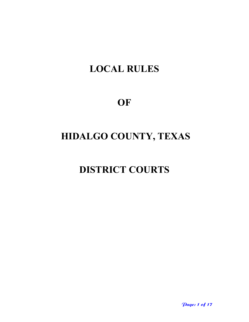## **LOCAL RULES**

## **OF**

# **HIDALGO COUNTY, TEXAS**

## **DISTRICT COURTS**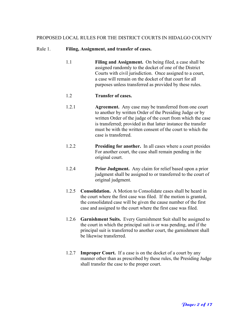## PROPOSED LOCAL RULES FOR THE DISTRICT COURTS IN HIDALGO COUNTY

#### Rule 1. **Filing, Assignment, and transfer of cases.**

1.1 **Filing and Assignment.** On being filed, a case shall be assigned randomly to the docket of one of the District Courts with civil jurisdiction. Once assigned to a court, a case will remain on the docket of that court for all purposes unless transferred as provided by these rules.

#### 1.2 **Transfer of cases.**

- 1.2.1 **Agreement.** Any case may be transferred from one court to another by written Order of the Presiding Judge or by written Order of the judge of the court from which the case is transferred; provided in that latter instance the transfer must be with the written consent of the court to which the case is transferred.
- 1.2.2 **Presiding for another.** In all cases where a court presides For another court, the case shall remain pending in the original court.
- 1.2.4 **Prior Judgment.** Any claim for relief based upon a prior judgment shall be assigned to or transferred to the court of original judgment.
- 1.2.5 **Consolidation.** A Motion to Consolidate cases shall be heard in the court where the first case was filed. If the motion is granted, the consolidated case will be given the cause number of the first case and assigned to the court where the first case was filed.
- 1.2.6 **Garnishment Suits.** Every Garnishment Suit shall be assigned to the court in which the principal suit is or was pending, and if the principal suit is transferred to another court, the garnishment shall be likewise transferred.
- 1.2.7 **Improper Court.** If a case is on the docket of a court by any manner other than as prescribed by these rules, the Presiding Judge shall transfer the case to the proper court.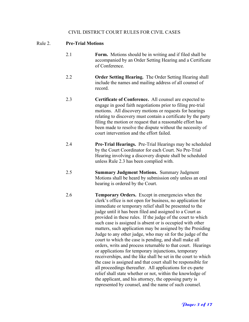#### CIVIL DISTRICT COURT RULES FOR CIVIL CASES

#### Rule 2. **Pre-Trial Motions**

- 2.1 **Form.** Motions should be in writing and if filed shall be accompanied by an Order Setting Hearing and a Certificate of Conference.
- 2.2 **Order Setting Hearing.** The Order Setting Hearing shall include the names and mailing address of all counsel of record.
- 2.3 **Certificate of Conference.** All counsel are expected to engage in good faith negotiations prior to filing pre-trial motions. All discovery motions or requests for hearings relating to discovery must contain a certificate by the party filing the motion or request that a reasonable effort has been made to resolve the dispute without the necessity of court intervention and the effort failed.
- 2.4 **Pre-Trial Hearings.** Pre-Trial Hearings may be scheduled by the Court Coordinator for each Court. No Pre-Trial Hearing involving a discovery dispute shall be scheduled unless Rule 2.3 has been complied with.
- 2.5 **Summary Judgment Motions.** Summary Judgment Motions shall be heard by submission only unless an oral hearing is ordered by the Court.
- 2.6 **Temporary Orders.** Except in emergencies when the clerk's office is not open for business, no application for immediate or temporary relief shall be presented to the judge until it has been filed and assigned to a Court as provided in these rules. If the judge of the court to which such case is assigned is absent or is occupied with other matters, such application may be assigned by the Presiding Judge to any other judge, who may sit for the judge of the court to which the case is pending, and shall make all orders, writs and process returnable to that court. Hearings or applications for temporary injunctions, temporary receiverships, and the like shall be set in the court to which the case is assigned and that court shall be responsible for all proceedings thereafter. All applications for ex-parte relief shall state whether or not, within the knowledge of the applicant, and his attorney, the opposing party is represented by counsel, and the name of such counsel.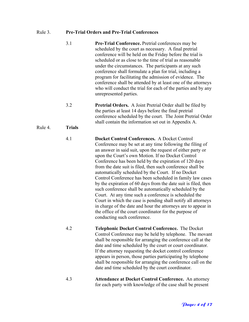## Rule 3. **Pre-Trial Orders and Pre-Trial Conferences**

|         | 3.1           | <b>Pre-Trial Conference.</b> Pretrial conferences may be<br>scheduled by the court as necessary. A final pretrial<br>conference will be held on the Friday before the trial is<br>scheduled or as close to the time of trial as reasonable<br>under the circumstances. The participants at any such<br>conference shall formulate a plan for trial, including a<br>program for facilitating the admission of evidence. The<br>conference shall be attended by at least one of the attorneys<br>who will conduct the trial for each of the parties and by any<br>unrepresented parties.                                                                                                                                                                                                                                                                                                    |
|---------|---------------|-------------------------------------------------------------------------------------------------------------------------------------------------------------------------------------------------------------------------------------------------------------------------------------------------------------------------------------------------------------------------------------------------------------------------------------------------------------------------------------------------------------------------------------------------------------------------------------------------------------------------------------------------------------------------------------------------------------------------------------------------------------------------------------------------------------------------------------------------------------------------------------------|
|         | 3.2           | <b>Pretrial Orders.</b> A Joint Pretrial Order shall be filed by<br>the parties at least 14 days before the final pretrial<br>conference scheduled by the court. The Joint Pretrial Order<br>shall contain the information set out in Appendix A.                                                                                                                                                                                                                                                                                                                                                                                                                                                                                                                                                                                                                                         |
| Rule 4. | <b>Trials</b> |                                                                                                                                                                                                                                                                                                                                                                                                                                                                                                                                                                                                                                                                                                                                                                                                                                                                                           |
|         | 4.1           | Docket Control Conferences. A Docket Control<br>Conference may be set at any time following the filing of<br>an answer in said suit, upon the request of either party or<br>upon the Court's own Motion. If no Docket Control<br>Conference has been held by the expiration of 120 days<br>from the date suit is filed, then such conference shall be<br>automatically scheduled by the Court. If no Docket<br>Control Conference has been scheduled in family law cases<br>by the expiration of 60 days from the date suit is filed, then<br>such conference shall be automatically scheduled by the<br>Court. At any time such a conference is scheduled the<br>Court in which the case is pending shall notify all attorneys<br>in charge of the date and hour the attorneys are to appear in<br>the office of the court coordinator for the purpose of<br>conducting such conference. |
|         | 4.2           | <b>Telephonic Docket Control Conference.</b> The Docket<br>Control Conference may be held by telephone. The movant<br>shall be responsible for arranging the conference call at the<br>date and time scheduled by the court or court coordinator.<br>If the attorney requesting the docket control conference<br>appears in person, those parties participating by telephone<br>shall be responsible for arranging the conference call on the<br>date and time scheduled by the court coordinator.                                                                                                                                                                                                                                                                                                                                                                                        |
|         | 4.3           | <b>Attendance at Docket Control Conference.</b> An attorney<br>for each party with knowledge of the case shall be present                                                                                                                                                                                                                                                                                                                                                                                                                                                                                                                                                                                                                                                                                                                                                                 |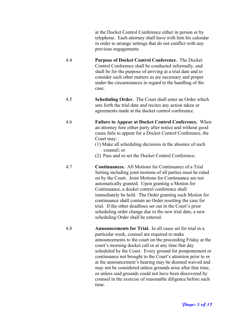at the Docket Control Conference either in person or by telephone. Each attorney shall have with him his calendar in order to arrange settings that do not conflict with any previous engagements.

- 4.4 **Purpose of Docket Control Conference.** The Docket Control Conference shall be conducted informally, and shall be for the purpose of arriving at a trial date and to consider such other matters as are necessary and proper under the circumstances in regard to the handling of the case.
- 4.5 **Scheduling Order.** The Court shall enter an Order which sets forth the trial date and recites any action taken or agreements made at the docket control conference.
- 4.6 **Failure to Appear at Docket Control Conference.** When an attorney fore either party after notice and without good cause fails to appear for a Docket Control Conference, the Court may:
	- (1) Make all scheduling decisions in the absence of such counsel; or
	- (2) Pass and re-set the Docket Control Conference.
- 4.7 **Continuances.** All Motions for Continuance of a Trial Setting including joint motions of all parties must be ruled on by the Court. Joint Motions for Continuance are not automatically granted. Upon granting a Motion for Continuance, a docket control conference shall immediately be held. The Order granting such Motion for continuance shall contain an Order resetting the case for trial. If the other deadlines set out in the Court's prior scheduling order change due to the new trial date, a new scheduling Order shall be entered.
- 4.8 **Announcements for Trial.** In all cases set for trial in a particular week, counsel are required to make announcements to the court on the proceeding Friday at the court's morning docket call or at any time that day scheduled by the Court. Every ground for postponement or continuance not brought to the Court's attention prior to or at the announcement's hearing may be deemed waived and may not be considered unless grounds arise after that time, or unless said grounds could not have been discovered by counsel in the exercise of reasonable diligence before such time.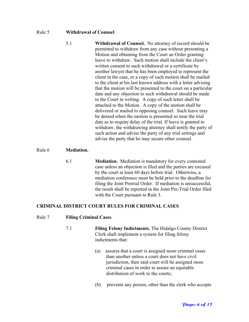#### Rule 5 **Withdrawal of Counsel**

| 5.1 | <b>Withdrawal of Counsel.</b> No attorney of record should be                                                     |  |  |  |
|-----|-------------------------------------------------------------------------------------------------------------------|--|--|--|
|     | permitted to withdraw from any case without presenting a<br>Motion and obtaining from the Court an Order granting |  |  |  |
|     |                                                                                                                   |  |  |  |
|     | leave to withdraw. Such motion shall include the client's                                                         |  |  |  |
|     | written consent to such withdrawal or a certificate by                                                            |  |  |  |
|     | another lawyer that he has been employed to represent the                                                         |  |  |  |
|     | client in the case, or a copy of such motion shall be mailed                                                      |  |  |  |
|     | to the client at his last known address with a letter advising                                                    |  |  |  |
|     | that the motion will be presented to the court on a particular                                                    |  |  |  |
|     | date and any objection to such withdrawal should be made                                                          |  |  |  |
|     | to the Court in writing. A copy of such letter shall be                                                           |  |  |  |
|     | attached to the Motion. A copy of the motion shall be                                                             |  |  |  |
|     | delivered or mailed to opposing counsel. Such leave may                                                           |  |  |  |
|     | be denied when the motion is presented so near the trial                                                          |  |  |  |
|     | date as to require delay of the trial. If leave is granted to                                                     |  |  |  |
|     | withdraw, the withdrawing attorney shall notify the party of                                                      |  |  |  |
|     | such action and advise the party of any trial settings and                                                        |  |  |  |
|     | advise the party that he may secure other counsel.                                                                |  |  |  |
|     |                                                                                                                   |  |  |  |

#### Rule 6 **Mediation.**

6.1 **Mediation.** Mediation is mandatory for every contested case unless an objection is filed and the parties are excused by the court at least 60 days before trial. Otherwise, a mediation conference must be held prior to the deadline for filing the Joint Pretrial Order. If mediation is unsuccessful, the result shall be reported in the Joint Pre-Trial Order filed with the Court pursuant to Rule 3.

#### **CRIMINAL DISTRICT COURT RULES FOR CRIMINAL CASES**

#### Rule 7 **Filing Criminal Cases**.

- 7.1 **Filing Felony Indictments.** The Hidalgo County District Clerk shall implement a system for filing felony indictments that:
	- (a) assures that a court is assigned more criminal cases than another unless a court does not have civil jurisdiction, then said court will be assigned more criminal cases in order to assure an equitable distribution of work to the courts;
	- (b) prevents any person, other than the clerk who accepts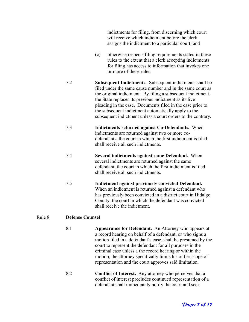indictments for filing, from discerning which court will receive which indictment before the clerk assigns the indictment to a particular court; and

- (c) otherwise respects filing requirements stated in these rules to the extent that a clerk accepting indictments for filing has access to information that invokes one or more of these rules.
- 7.2 **Subsequent Indictments.** Subsequent indictments shall be filed under the same cause number and in the same court as the original indictment. By filing a subsequent indictment, the State replaces its previous indictment as its live pleading in the case. Documents filed in the case prior to the subsequent indictment automatically apply to the subsequent indictment unless a court orders to the contrary.
- 7.3 **Indictments returned against Co-Defendants.** When indictments are returned against two or more codefendants, the court in which the first indictment is filed shall receive all such indictments.
- 7.4 **Several indictments against same Defendant.** When several indictments are returned against the same defendant, the court in which the first indictment is filed shall receive all such indictments.
- 7.5 **Indictment against previously convicted Defendant.** When an indictment is returned against a defendant who has previously been convicted in a district court in Hidalgo County, the court in which the defendant was convicted shall receive the indictment.

## Rule 8 **Defense Counsel**

- 8.1 **Appearance for Defendant.** An Attorney who appears at a record hearing on behalf of a defendant, or who signs a motion filed in a defendant's case, shall be presumed by the court to represent the defendant for all purposes in the criminal case unless a the record hearing or within the motion, the attorney specifically limits his or her scope of representation and the court approves said limitation.
- 8.2 **Conflict of Interest.** Any attorney who perceives that a conflict of interest precludes continued representation of a defendant shall immediately notify the court and seek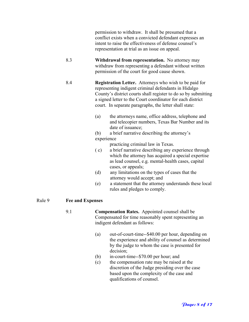permission to withdraw. It shall be presumed that a conflict exists when a convicted defendant expresses an intent to raise the effectiveness of defense counsel's representation at trial as an issue on appeal.

- 8.3 **Withdrawal from representation.** No attorney may withdraw from representing a defendant without written permission of the court for good cause shown.
- 8.4 **Registration Letter.** Attorneys who wish to be paid for representing indigent criminal defendants in Hidalgo County's district courts shall register to do so by submitting a signed letter to the Court coordinator for each district court. In separate paragraphs, the letter shall state:
	- (a) the attorneys name, office address, telephone and and telecopier numbers, Texas Bar Number and its date of issuance;
	- (b) a brief narrative describing the attorney's experience

practicing criminal law in Texas.

- ( c) a brief narrative describing any experience through which the attorney has acquired a special expertise as lead counsel, e.g. mental-health cases, capital cases, or appeals;
- (d) any limitations on the types of cases that the attorney would accept; and
- (e) a statement that the attorney understands these local rules and pledges to comply.

## Rule 9 **Fee and Expenses**

- 9.1 **Compensation Rates.** Appointed counsel shall be Compensated for time reasonably spent representing an indigent defendant as follows:
	- (a) out-of-court-time--\$40.00 per hour, depending on the experience and ability of counsel as determined by the judge to whom the case is presented for decision;
	- (b) in-court-time--\$70.00 per hour; and
	- (c) the compensation rate may be raised at the discretion of the Judge presiding over the case based upon the complexity of the case and qualifications of counsel.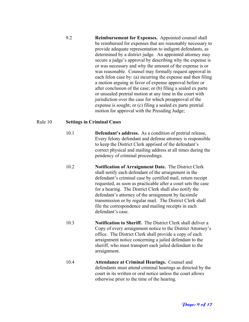| 9.2 | <b>Reimbursement for Expenses.</b> Appointed counsel shall                                                                |  |  |  |
|-----|---------------------------------------------------------------------------------------------------------------------------|--|--|--|
|     | be reimbursed for expenses that are reasonably necessary to<br>provide adequate representation to indigent defendants, as |  |  |  |
|     |                                                                                                                           |  |  |  |
|     | determined by a district judge. An appointed attorney may                                                                 |  |  |  |
|     | secure a judge's approval by describing why the expense is                                                                |  |  |  |
|     | or was necessary and why the amount of the expense is or                                                                  |  |  |  |
|     | was reasonable. Counsel may formally request approval in                                                                  |  |  |  |
|     | each felon case by: (a) incurring the expense and then filing                                                             |  |  |  |
|     | a motion arguing in favor of expense approval before or                                                                   |  |  |  |
|     | after conclusion of the case; or (b) filing a sealed ex parte                                                             |  |  |  |
|     | or unsealed pretrial motion at any time in the court with                                                                 |  |  |  |
|     | jurisdiction over the case for which preapproval of the                                                                   |  |  |  |
|     | expense is sought; or (c) filing a sealed ex parte pretrial                                                               |  |  |  |
|     | motion for approval with the Presiding Judge;                                                                             |  |  |  |

## Rule 10 **Settings in Criminal Cases**

- 10.1 **Defendant's address.** As a condition of pretrial release, Every felony defendant and defense attorney is responsible to keep the District Clerk apprised of the defendant's correct physical and mailing address at all times during the pendency of criminal proceedings.
- 10.2 **Notification of Arraignment Date.** The District Clerk shall notify each defendant of the arraignment in the defendant's criminal case by certified mail, return receipt requested, as soon as practicable after a court sets the case for a hearing. The District Clerk shall also notify the defendant's attorney of the arraignment by facsimile transmission or by regular mail. The District Clerk shall file the correspondence and mailing receipts in each defendant's case.
- 10.3 **Notification to Sheriff.** The District Clerk shall deliver a Copy of every arraignment notice to the District Attorney's office. The District Clerk shall provide a copy of each arraignment notice concerning a jailed defendant to the sheriff, who must transport each jailed defendant to the arraignment.
- 10.4 **Attendance at Criminal Hearings.** Counsel and defendants must attend criminal hearings as directed by the court in its written or oral notice unless the court allows otherwise prior to the time of the hearing.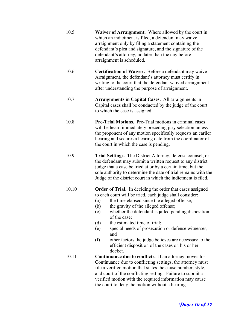| 10.5 | <b>Waiver of Arraignment.</b> Where allowed by the court in |  |  |
|------|-------------------------------------------------------------|--|--|
|      | which an indictment is filed, a defendant may waive         |  |  |
|      | arraignment only by filing a statement containing the       |  |  |
|      | defendant's plea and signature, and the signature of the    |  |  |
|      | defendant's attorney, no later than the day before          |  |  |
|      | arraignment is scheduled.                                   |  |  |

- 10.6 **Certification of Waiver.** Before a defendant may waive Arraignment, the defendant's attorney must certify in writing to the court that the defendant waived arraignment after understanding the purpose of arraignment.
- 10.7 **Arraignments in Capital Cases.** All arraignments in Capital cases shall be conducted by the judge of the court to which the case is assigned.
- 10.8 **Pre-Trial Motions.** Pre-Trial motions in criminal cases will be heard immediately preceding jury selection unless the proponent of any motion specifically requests an earlier hearing and secures a hearing date from the coordinator of the court in which the case is pending.
- 10.9 **Trial Settings.** The District Attorney, defense counsel, or the defendant may submit a written request to any district judge that a case be tried at or by a certain time, but the sole authority to determine the date of trial remains with the Judge of the district court in which the indictment is filed.

## 10.10 **Order of Trial.** In deciding the order that cases assigned to each court will be tried, each judge shall consider:

- (a) the time elapsed since the alleged offense;
- (b) the gravity of the alleged offense;
- (c) whether the defendant is jailed pending disposition of the case;
- (d) the estimated time of trial;
- (e) special needs of prosecution or defense witnesses; and
- (f) other factors the judge believes are necessary to the efficient disposition of the cases on his or her docket.
- 10.11 **Continuance due to conflicts.** If an attorney moves for Continuance due to conflicting settings, the attorney must file a verified motion that states the cause number, style, and court of the conflicting setting. Failure to submit a verified motion with the required information may cause the court to deny the motion without a hearing.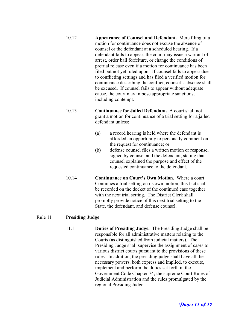| 10.12 | Appearance of Counsel and Defendant. Mere filing of a        |
|-------|--------------------------------------------------------------|
|       | motion for continuance does not excuse the absence of        |
|       | counsel or the defendant at a scheduled hearing. If a        |
|       | defendant fails to appear, the court may issue a warrant of  |
|       | arrest, order bail forfeiture, or change the conditions of   |
|       | pretrial release even if a motion for continuance has been   |
|       | filed but not yet ruled upon. If counsel fails to appear due |
|       | to conflicting settings and has filed a verified motion for  |
|       | continuance describing the conflict, counsel's absence shall |
|       | be excused. If counsel fails to appear without adequate      |
|       | cause, the court may impose appropriate sanctions,           |
|       | including contempt.                                          |

- 10.13 **Continuance for Jailed Defendant.** A court shall not grant a motion for continuance of a trial setting for a jailed defendant unless;
	- (a) a record hearing is held where the defendant is afforded an opportunity to personally comment on the request for continuance; or
	- (b) defense counsel files a written motion or response, signed by counsel and the defendant, stating that counsel explained the purpose and effect of the requested continuance to the defendant.
	- 10.14 **Continuance on Court's Own Motion.** Where a court Continues a trial setting on its own motion, this fact shall be recorded on the docket of the continued case together with the next trial setting. The District Clerk shall promptly provide notice of this next trial setting to the State, the defendant, and defense counsel.

## Rule 11 **Presiding Judge**

11.1 **Duties of Presiding Judge.** The Presiding Judge shall be responsible for all administrative matters relating to the Courts (as distinguished from judicial matters). The Presiding Judge shall supervise the assignment of cases to various district courts pursuant to the provisions of these rules. In addition, the presiding judge shall have all the necessary powers, both express and implied, to execute, implement and perform the duties set forth in the Government Code Chapter 74, the supreme Court Rules of Judicial Administration and the rules promulgated by the regional Presiding Judge.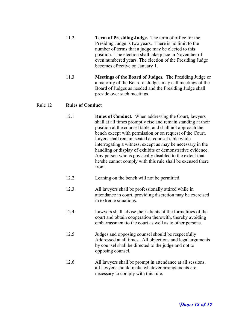- 11.2 **Term of Presiding Judge.** The term of office for the Presiding Judge is two years. There is no limit to the number of terms that a judge may be elected to this position. The election shall take place in November of even numbered years. The election of the Presiding Judge becomes effective on January 1.
- 11.3 **Meetings of the Board of Judges.** The Presiding Judge or a majority of the Board of Judges may call meetings of the Board of Judges as needed and the Presiding Judge shall preside over such meetings.

## Rule 12 **Rules of Conduct**

- 12.1 **Rules of Conduct.** When addressing the Court, lawyers shall at all times promptly rise and remain standing at their position at the counsel table, and shall not approach the bench except with permission or on request of the Court. Layers shall remain seated at counsel table while interrogating a witness, except as may be necessary in the handling or display of exhibits or demonstrative evidence. Any person who is physically disabled to the extent that he/she cannot comply with this rule shall be excused there from.
- 12.2 Leaning on the bench will not be permitted.
- 12.3 All lawyers shall be professionally attired while in attendance in court, providing discretion may be exercised in extreme situations.
- 12.4 Lawyers shall advise their clients of the formalities of the court and obtain cooperation therewith, thereby avoiding embarrassment to the court as well as to other persons.
- 12.5 Judges and opposing counsel should be respectfully Addressed at all times. All objections and legal arguments by counsel shall be directed to the judge and not to opposing counsel.
- 12.6 All lawyers shall be prompt in attendance at all sessions. all lawyers should make whatever arrangements are necessary to comply with this rule.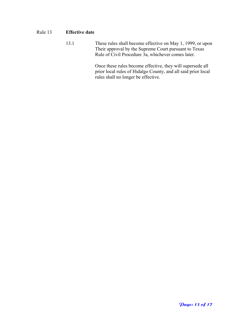## Rule 13 **Effective date**

13.1 These rules shall become effective on May 1, 1999, or upon Their approval by the Supreme Court pursuant to Texas Rule of Civil Procedure 3a, whichever comes later.

> Once these rules become effective, they will supersede all prior local rules of Hidalgo County, and all said prior local rules shall no longer be effective.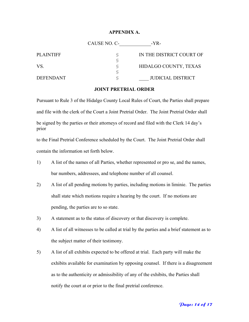#### **APPENDIX A.**

|                  | CAUSE NO. C- | $-YR-$                   |
|------------------|--------------|--------------------------|
| <b>PLAINTIFF</b> |              | IN THE DISTRICT COURT OF |
|                  |              |                          |
| VS.              |              | HIDALGO COUNTY, TEXAS    |
|                  |              |                          |
| <b>DEFENDANT</b> |              | <b>JUDICIAL DISTRICT</b> |

#### **JOINT PRETRIAL ORDER**

Pursuant to Rule 3 of the Hidalgo County Local Rules of Court, the Parties shall prepare and file with the clerk of the Court a Joint Pretrial Order. The Joint Pretrial Order shall be signed by the parties or their attorneys of record and filed with the Clerk 14 day's prior

to the Final Pretrial Conference scheduled by the Court. The Joint Pretrial Order shall contain the information set forth below.

- 1) A list of the names of all Parties, whether represented or pro se, and the names, bar numbers, addressees, and telephone number of all counsel.
- 2) A list of all pending motions by parties, including motions in liminie. The parties shall state which motions require a hearing by the court. If no motions are pending, the parties are to so state.
- 3) A statement as to the status of discovery or that discovery is complete.
- 4) A list of all witnesses to be called at trial by the parties and a brief statement as to the subject matter of their testimony.
- 5) A list of all exhibits expected to be offered at trial. Each party will make the exhibits available for examination by opposing counsel. If there is a disagreement as to the authenticity or admissibility of any of the exhibits, the Parties shall notify the court at or prior to the final pretrial conference.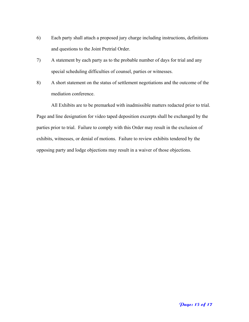- 6) Each party shall attach a proposed jury charge including instructions, definitions and questions to the Joint Pretrial Order.
- 7) A statement by each party as to the probable number of days for trial and any special scheduling difficulties of counsel, parties or witnesses.
- 8) A short statement on the status of settlement negotiations and the outcome of the mediation conference.

 All Exhibits are to be premarked with inadmissible matters redacted prior to trial. Page and line designation for video taped deposition excerpts shall be exchanged by the parties prior to trial. Failure to comply with this Order may result in the exclusion of exhibits, witnesses, or denial of motions. Failure to review exhibits tendered by the opposing party and lodge objections may result in a waiver of those objections.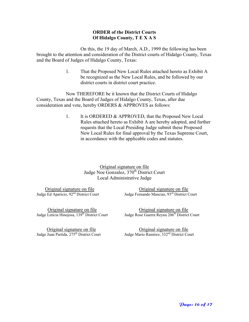#### **ORDER of the District Courts Of Hidalgo County, T E X A S**

On this, the 19 day of March, A.D., 1999 the following has been brought to the attention and consideration of the District courts of Hidalgo County, Texas and the Board of Judges of Hidalgo County, Texas:

> 1. That the Proposed New Local Rules attached hereto as Exhibit A be recognized as the New Local Rules, and be followed by our district courts in district court practice.

Now THEREFORE be it known that the District Courts of Hidalgo County, Texas and the Board of Judges of Hidalgo County, Texas, after due consideration and vote, hereby ORDERS & APPROVES as follows:

> 1. It is ORDERED & APPROVED, that the Proposed New Local Rules attached hereto as Exhibit A are hereby adopted, and further requests that the Local Presiding Judge submit these Proposed New Local Rules for final approval by the Texas Supreme Court, in accordance with the applicable codes and statutes.

> > Original signature on file Judge Noe Gonzalez, 370<sup>th</sup> District Court Local Administrative Judge

 Original signature on file Original signature on file Judge Ed Aparicio, 92<sup>nd</sup> District Court Judge Fernando Mancias, 93<sup>rd</sup> District Court

Original signature on file<br>
Judge Leticia Hinojosa, 139<sup>th</sup> District Court<br>
Judge Rose Guerra Reyna 206<sup>th</sup> District

Judge Rose Guerra Reyna 206<sup>th</sup> District Court

 Original signature on file Original signature on file Judge Juan Partida, 275<sup>th</sup> District Court Judge Mario Ramirez, 332<sup>nd</sup> District Court